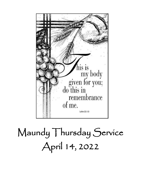

# Maundy Thursday Service April 14, 2022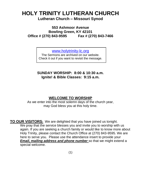### **HOLY TRINITY LUTHERAN CHURCH Lutheran Church – Missouri Synod**

**553 Ashmoor Avenue Bowling Green, KY 42101 Office # (270) 843-9595 Fax # (270) 843-7466**

[www.holytrinity-lc.org](http://www.holytrinity-lc.org/)

The Sermons are archived on our website. Check it out if you want to revisit the message.

**SUNDAY WORSHIP: 8:00 & 10:30 a.m. Ignite! & Bible Classes: 9:15 a.m.**

#### **WELCOME TO WORSHIP**

As we enter into the most solemn days of the church year, may God bless you at this holy time.

**TO OUR VISITORS:** We are delighted that you have joined us tonight. We pray that the service blesses you and invite you to worship with us again. If you are seeking a church family or would like to know more about Holy Trinity, please contact the Church Office at (270) 843-9595. We are here to serve you. Please use the attendance insert to provide your *Email, mailing address and phone number* so that we might extend a special welcome.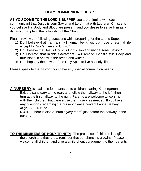#### **HOLY COMMUNION GUESTS**

**AS YOU COME TO THE LORD'S SUPPER** you are affirming with each communicant that Jesus is your Savior and Lord, that with Lutheran Christians you believe His Body and Blood are present, and you desire to serve Him as a dynamic disciple in the fellowship of the Church.

Please review the following questions while preparing for the Lord's Supper.

- 1) Do I believe that I am a sinful human being without hope of eternal life except for God's mercy in Christ?
- 2) Do I believe that Jesus Christ is God's Son and my personal Savior?
- 3) Do I believe that in this Sacrament I will receive Christ's true Body and true Blood in and with the bread and wine?
- 4) Do I hope by the power of the Holy Spirit to live a Godly life?

Please speak to the pastor if you have any special communion needs.

**A NURSERY** is available for infants up to children starting Kindergarten. Exit the sanctuary to the rear, and follow the hallway to the left, then turn at the first hallway to the right. Parents are welcome to worship with their children, but please use the nursery as needed. If you have any questions regarding the nursery please contact Laurie Seavey at (270) 991-1172.

**NOTE**: There is also a "nursing/cry room" just before the hallway to the nursery.

**TO THE MEMBERS OF HOLY TRINITY:** The presence of children is a gift to the church and they are a reminder that our church is growing. Please welcome all children and give a smile of encouragement to their parents.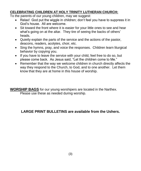#### **CELEBRATING CHILDREN AT HOLY TRINITY LUTHERAN CHURCH:**

To the parents of our young children, may we suggest:

- Relax! God put the wiggle in children; don't feel you have to suppress it in God's house. All are welcome.
- Sit toward the front where it is easier for your little ones to see and hear what's going on at the altar. They tire of seeing the backs of others' heads.
- Quietly explain the parts of the service and the actions of the pastor, deacons, readers, acolytes, choir, etc.
- Sing the hymns, pray, and voice the responses. Children learn liturgical behavior by copying you.
- If you have to leave the service with your child, feel free to do so, but please come back. As Jesus said, "Let the children come to Me."
- Remember that the way we welcome children in church directly affects the way they respond to the Church, to God, and to one another. Let them know that they are at home in this house of worship.

**WORSHIP BAGS** for our young worshipers are located in the Narthex. Please use these as needed during worship.

#### **LARGE PRINT BULLETINS are available from the Ushers.**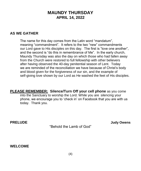#### **MAUNDY THURSDAY APRIL 14, 2022**

#### **AS WE GATHER**

The name for this day comes from the Latin word "mandatum", meaning "commandment". It refers to the two "new" commandments our Lord gave to His disciples on this day. The first is "love one another", and the second is "do this in remembrance of Me". In the early church, Maundy Thursday was also the day on which those who had fallen away from the Church were restored to full fellowship with other believers after having observed the 40-day penitential season of Lent. Today we are reminded of the reconciliation we have because of Christ's body and blood given for the forgiveness of our sin, and the example of self-giving love shown by our Lord as He washed the feet of His disciples.

**PLEASE REMEMBER: Silence/Turn Off your cell phone** as you come into the Sanctuary to worship the Lord. While you are silencing your phone, we encourage you to 'check in' on Facebook that you are with us today. Thank you.

"Behold the Lamb of God"

**PRELUDE Judy Owens**

**WELCOME**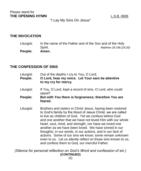"I Lay My Sins On Jesus"

#### **THE INVOCATION**

| People:    | Amen.                                                    |                        |  |
|------------|----------------------------------------------------------|------------------------|--|
|            | Spirit.                                                  | Matthew 28:19b [18:20] |  |
| Liturgist: | In the name of the Father and of the Son and of the Holy |                        |  |

#### **THE CONFESSION OF SINS**

| Liturgist:<br>People: | Out of the depths I cry to You, O Lord;<br>O Lord, hear my voice. Let Your ears be attentive<br>to my cry for mercy.                                                                                                                                                                                                                                                                                                                                                                                                                                                                                         |  |
|-----------------------|--------------------------------------------------------------------------------------------------------------------------------------------------------------------------------------------------------------------------------------------------------------------------------------------------------------------------------------------------------------------------------------------------------------------------------------------------------------------------------------------------------------------------------------------------------------------------------------------------------------|--|
| Liturgist:            | If You, O Lord, kept a record of sins, O Lord, who could<br>stand?                                                                                                                                                                                                                                                                                                                                                                                                                                                                                                                                           |  |
| People:               | But with You there is forgiveness; therefore You are<br>feared.                                                                                                                                                                                                                                                                                                                                                                                                                                                                                                                                              |  |
| Liturgist:            | Brothers and sisters in Christ Jesus, having been restored<br>to God's family by the blood of Jesus Christ, we are called<br>to live as children of God. Yet we confess before God<br>and one another that we have not loved Him with our whole<br>heart, soul, mind, and strength, nor have we loved one<br>another as we have been loved. We have sinned in our<br>thoughts, in our words, in our actions, and in our lack of<br>actions. Some of our sins we know; some remain unknown<br>even to us. Let us silently reflect on those sins known to us,<br>and confess them to God, our merciful Father. |  |

*(Silence for personal reflection on God's Word and confession of sin.)* **(CONTINUED)**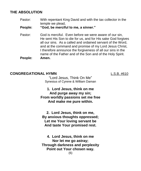#### **THE ABSOLUTION**

Pastor: With repentant King David and with the tax collector in the temple we plead,

**People: "God, be merciful to me, a sinner."**

Pastor: God is merciful. Even before we were aware of our sin, He sent His Son to die for us, and for His sake God forgives all our sins. As a called and ordained servant of the Word, and at the command and promise of my Lord Jesus Christ, I therefore announce the forgiveness of all our sins in the name of the Father and of the Son and of the Holy Spirit. **People: Amen.**

#### **CONGREGATIONAL HYMN** L.S.B. #610

"Lord Jesus, Think On Me" Synesius of Cyrene & William Daman

**1. Lord Jesus, think on me And purge away my sin; From worldly passions set me free And make me pure within.**

**2. Lord Jesus, think on me, By anxious thoughts oppressed; Let me Your loving servant be And taste Your promised rest.**

**4. Lord Jesus, think on me Nor let me go astray; Through darkness and perplexity Point out Your chosen way.**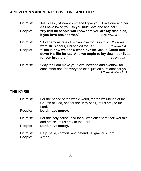#### **A NEW COMMANDMENT: LOVE ONE ANOTHER**

| Liturgist: | Jesus said, "A new command I give you: Love one another.<br>As I have loved you, so you must love one another." |                 |  |  |
|------------|-----------------------------------------------------------------------------------------------------------------|-----------------|--|--|
| People:    | "By this all people will know that you are My disciples,                                                        |                 |  |  |
|            | if you love one another."                                                                                       | John 13:34 & 35 |  |  |
| Liturgist: | "God demonstrates His own love for us in this: While we                                                         |                 |  |  |
|            | were still sinners, Christ died for us."                                                                        | Romans 5:8      |  |  |
| People:    | "This is how we know what love is: Jesus Christ laid                                                            |                 |  |  |
|            | down His life for us. And we ought to lay down our lives                                                        |                 |  |  |
|            | for our brothers."                                                                                              | 1 John 3:16     |  |  |
| Liturgist: | "May the Lord make your love increase and overflow for                                                          |                 |  |  |
|            | each other and for everyone else, just as ours does for you."<br>1 Thessalonians 3:12                           |                 |  |  |

#### **THE KYRIE**

| Liturgist:<br>People: | For the peace of the whole world, for the well-being of the<br>Church of God, and for the unity of all, let us pray to the<br>Lord:<br>Lord, have mercy. |
|-----------------------|----------------------------------------------------------------------------------------------------------------------------------------------------------|
| Liturgist:            | For this holy house, and for all who offer here their worship<br>and praise, let us pray to the Lord:                                                    |
| People:               | Lord, have mercy.                                                                                                                                        |
| Liturgist:<br>People: | Help, save, comfort, and defend us, gracious Lord.<br>Amen.                                                                                              |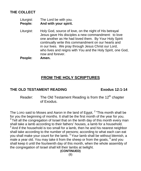#### **THE COLLECT**

- Liturgist: The Lord be with you. **People: And with your spirit.**
- Liturgist: Holy God, source of love, on the night of His betrayal Jesus gave His disciples a new commandment: to love one another as He had loved them. By Your Holy Spirit continually write this commandment on our hearts and in our lives. We pray through Jesus Christ our Lord, who lives and reigns with You and the Holy Spirit, one God, now and forever.

**People: Amen.**

### **FROM THE HOLY SCRIPTURES**

#### **THE OLD TESTAMENT READING Exodus 12:1-14**

Reader: The Old Testament Reading is from the  $12<sup>th</sup>$  chapter of Exodus.

The LORD said to Moses and Aaron in the land of Egypt,  $2$  "This month shall be for you the beginning of months. It shall be the first month of the year for you.  $3$  Tell all the congregation of Israel that on the tenth day of this month every man shall take a lamb according to their fathers' houses, a lamb for a household.  $4$  And if the household is too small for a lamb, then he and his nearest neighbor shall take according to the number of persons; according to what each can eat you shall make your count for the lamb. <sup>5</sup> Your lamb shall be without blemish, a male a year old. You may take it from the sheep or from the goats,  $^6$  and you shall keep it until the fourteenth day of this month, when the whole assembly of the congregation of Israel shall kill their lambs at twilight.

#### **(CONTINUED)**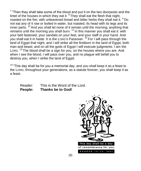$7$  "Then they shall take some of the blood and put it on the two doorposts and the lintel of the houses in which they eat it.  $8$  They shall eat the flesh that night, roasted on the fire; with unleavened bread and bitter herbs they shall eat it. <sup>9</sup> Do not eat any of it raw or boiled in water, but roasted, its head with its legs and its inner parts. <sup>10</sup> And you shall let none of it remain until the morning; anything that remains until the morning you shall burn.  $11$  In this manner you shall eat it: with your belt fastened, your sandals on your feet, and your staff in your hand. And you shall eat it in haste. It is the LORD's Passover.  $12$  For I will pass through the land of Egypt that night, and I will strike all the firstborn in the land of Egypt, both man and beast; and on all the gods of Egypt I will execute judgments: I am the LORD. <sup>13</sup> The blood shall be a sign for you, on the houses where you are. And when I see the blood, I will pass over you, and no plague will befall you to destroy you, when I strike the land of Egypt.

 $14$  "This dav shall be for you a memorial day, and you shall keep it as a feast to the LORD; throughout your generations, as a statute forever, you shall keep it as a feast.

Reader: This is the Word of the Lord. **People: Thanks be to God!**

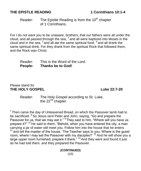#### **THE EPISTLE READING 1 Corinthians 10:1-4**

#### Reader: The Epistle Reading is from the  $10<sup>th</sup>$  chapter of 1 Corinthians.

For I do not want you to be unaware, brothers, that our fathers were all under the cloud, and all passed through the sea,  $^2$  and all were baptized into Moses in the cloud and in the sea,  $3$  and all ate the same spiritual food,  $4$  and all drank the same spiritual drink. For they drank from the spiritual Rock that followed them, and the Rock was Christ.

Reader: This is the Word of the Lord. **People: Thanks be to God!**

#### Please stand for **THE HOLY GOSPEL Luke 22:7-20**

Reader: The Holy Gospel according to St. Luke, the  $22<sup>nd</sup>$  chapter.

 $7$ Then came the day of Unleavened Bread, on which the Passover lamb had to be sacrificed. <sup>8</sup> So Jesus sent Peter and John, saying, "Go and prepare the Passover for us, that we may eat it." <sup>9</sup> They said to him, "Where will you have us prepare it?" <sup>10</sup> He said to them, "Behold, when you have entered the city, a man carrying a jar of water will meet you. Follow him into the house that he enters  $11$  and tell the master of the house, 'The Teacher says to you, Where is the guest room, where I may eat the Passover with my disciples?' <sup>12</sup> And he will show you a large upper room furnished; prepare it there."  $13$  And they went and found it just as he had told them, and they prepared the Passover.

> **(CONTINUED)** (10)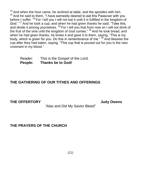$14$  And when the hour came, he reclined at table, and the apostles with him.  $15$  And he said to them, "I have earnestly desired to eat this Passover with you before I suffer. <sup>16</sup> For I tell you I will not eat it until it is fulfilled in the kingdom of God."  $17$  And he took a cup, and when he had given thanks he said, "Take this, and divide it among yourselves.  $18$  For I tell you that from now on I will not drink of the fruit of the vine until the kingdom of God comes." <sup>19</sup> And he took bread, and when he had given thanks, he broke it and gave it to them, saying, "This is my body, which is given for you. Do this in remembrance of me."  $20$  And likewise the cup after they had eaten, saying, "This cup that is poured out for you is the new covenant in my blood."

Reader: This is the Gospel of the Lord. **People: Thanks be to God!**

#### **THE GATHERING OF OUR TITHES AND OFFERINGS**

**THE OFFERTORY Judy Owens**

"Alas and Did My Savior Bleed"

**THE PRAYERS OF THE CHURCH**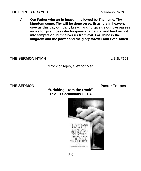#### **THE LORD'S PRAYER** *Matthew 6:9-13*

**All: Our Father who art in heaven, hallowed be Thy name, Thy kingdom come, Thy will be done on earth as it is in heaven; give us this day our daily bread; and forgive us our trespasses as we forgive those who trespass against us; and lead us not into temptation, but deliver us from evil. For Thine is the kingdom and the power and the glory forever and ever. Amen.**

#### **THE SERMON HYMN** L.S.B. #761

"Rock of Ages, Cleft for Me"

**THE SERMON Pastor Toopes** 





 $(12)$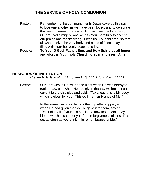### **THE SERVICE OF HOLY COMMUNION**

- Pastor: Remembering the commandments Jesus gave us this day, to love one another as we have been loved, and to celebrate this feast in remembrance of Him, we give thanks to You, O Lord God almighty, and we ask You mercifully to accept our praise and thanksgiving. Bless us, Your children, so that all who receive the very body and blood of Jesus may be filled with Your heavenly peace and joy.
- **People: To You, O God, Father, Son, and Holy Spirit, be all honor and glory in Your holy Church forever and ever. Amen.**

#### **THE WORDS OF INSTITUTION**

*Matthew 26:26-28; Mark 14:22-24; Luke 22:19 & 20; 1 Corinthians 11:23-25*

Pastor: Our Lord Jesus Christ, on the night when He was betrayed, took bread, and when He had given thanks, He broke it and gave it to the disciples and said: "Take, eat; this is My body, which is given for you. This do in remembrance of Me."

> In the same way also He took the cup after supper, and when He had given thanks, He gave it to them, saying: "Drink of it, all of you; this cup is the new testament in My blood, which is shed for you for the forgiveness of sins. This do, as often as you drink it, in remembrance of Me."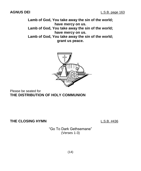**Lamb of God, You take away the sin of the world; have mercy on us.**

**Lamb of God, You take away the sin of the world; have mercy on us.**

**Lamb of God, You take away the sin of the world; grant us peace.**



Please be seated for **THE DISTRIBUTION OF HOLY COMMUNION**

**THE CLOSING HYMN** L.S.B. #436

"Go To Dark Gethsemane" (Verses 1-3)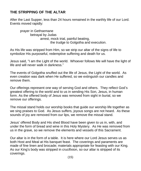#### **THE STRIPPING OF THE ALTAR**

After the Last Supper, less than 24 hours remained in the earthly life of our Lord. Events moved rapidly:

prayer in Gethsemane betrayal by Judas arrest, mock trial, painful beating, the trudge to Golgotha and execution.

As His life was stripped from Him, so we strip our altar of the signs of life to symbolize His purposeful, redemptive suffering and death for us.

Jesus said, "I am the Light of the world. Whoever follows Me will have the light of life and will never walk in darkness."

The events of Golgotha snuffed out the life of Jesus, the Light of the world. As even creation was dark when He suffered, so we extinguish our candles and remove them.

Our offerings represent one way of serving God and others. They reflect God's greatest offering to the world and to us in sending His Son, Jesus, in human form. As the offered body of Jesus was removed from sight in burial, so we remove our offerings.

The missal stand holds our worship books that guide our worship life together as we sing praises to God. As Jesus suffers, joyous songs are not heard. As these sounds of joy are removed from our lips, we remove the missal stand.

Jesus' offered Body and His shed Blood have been given to us in, with, and under the form of bread and wine in this Holy Mystery. As He was removed from us in the grave, so we remove the elements and vessels of this Sacrament.

Our altar is in the form of a table. It is here where our Lord Jesus serves us as both Host and Meal at His banquet feast. The coverings and paraments are made of fine linen and brocade; materials appropriate for feasting with our King. As our King's body was stripped in crucifixion, so our altar is stripped of its coverings.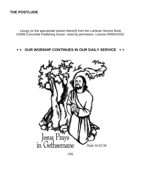#### **THE POSTLUDE**

Liturgy (or the appropriate portion thereof) from the Lutheran Service Book ©2006 Concordia Publishing House. Used by permission. License #000014332.

#### OUR WORSHIP CONTINUES IN OUR DAILY SERVICE ++



(16)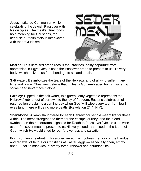Jesus instituted Communion while celebrating the Jewish Passover with his disciples. The meal's ritual foods hold meaning for Christians, too, because our faith story is interwoven with that of Judaism.



**Matzoh:** This unraised bread recalls the Israelites' hasty departure from oppression in Egypt. Jesus used the Passover bread to present to us His very body, which delivers us from bondage to sin and death.

**Salt water:** It symbolizes the tears of the Hebrews and of all who suffer in any time and place. Christians believe that in Jesus God embraced human suffering so we need never face it alone.

**Parsley:** Dipped in the salt water, this green, leafy vegetable represents the Hebrews' rebirth out of sorrow into the joy of freedom. Easter's celebration of resurrection proclaims a coming day when God "will wipe every tear from [our] eyes [and] there will be no more death" (Revelation 21:4, NIV).

**Shankbone:** A lamb slaughtered for each Hebrew household meant life for those within. The meat strengthened them for the escape journey, and the blood, swabbed on their doorframe, signaled for Death to "pass over." Jesus used wine at the Passover meal to present to us His very blood - the blood of the Lamb of God - which He would shed for our forgiveness and salvation.

**Egg:** For Jews celebrating Passover, an egg symbolizes memory of the Exodus and renewal of faith. For Christians at Easter, eggs — especially open, empty ones — call to mind Jesus' empty tomb, renewal and abundant life.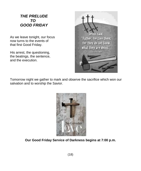#### *THE PRELUDE TO GOOD FRIDAY*

As we leave tonight, our focus now turns to the events of that first Good Friday.

His arrest, the questioning, the beatings, the sentence, and the execution.



Tomorrow night we gather to mark and observe the sacrifice which won our salvation and to worship the Savior.



**Our Good Friday Service of Darkness begins at 7:00 p.m.**